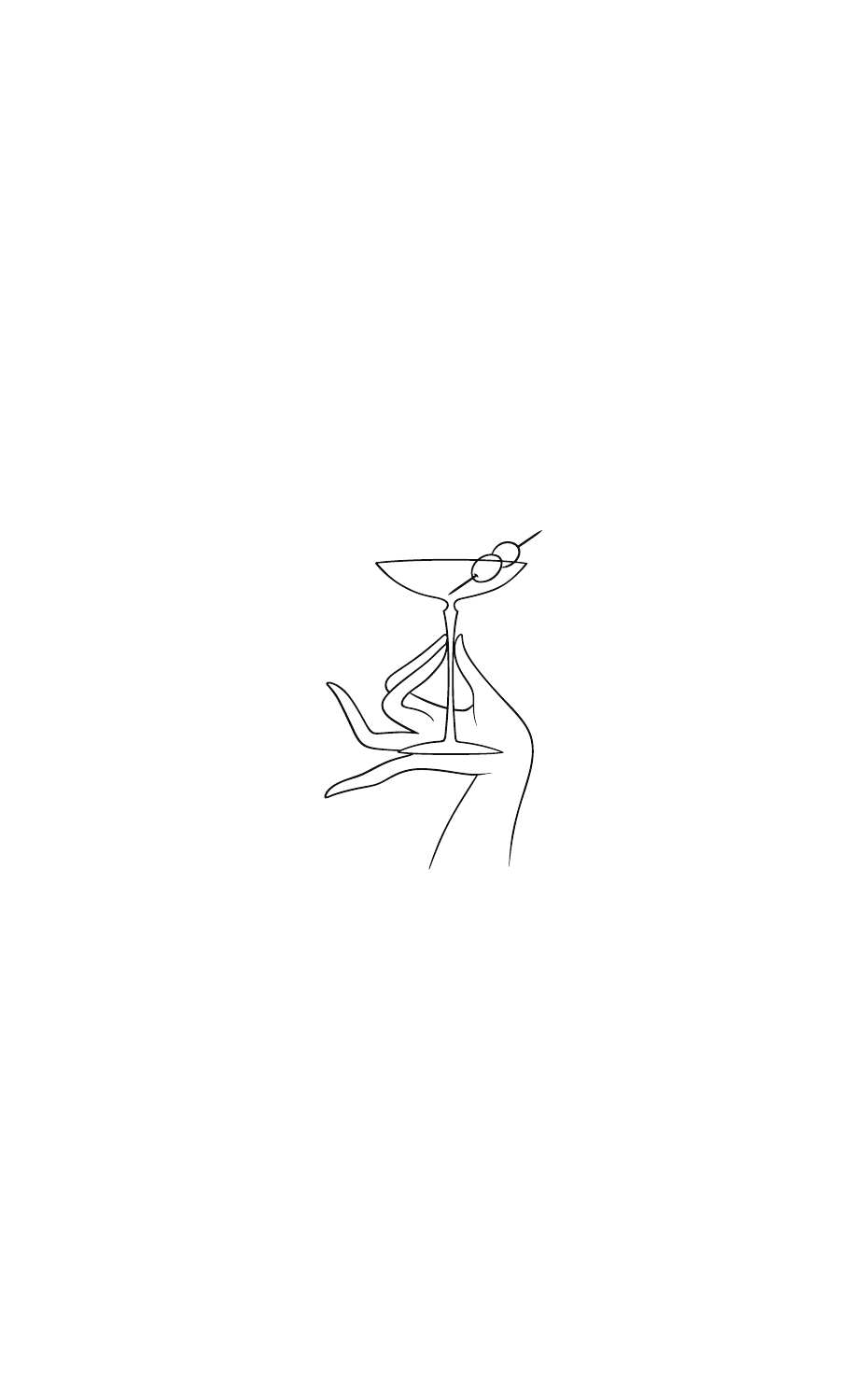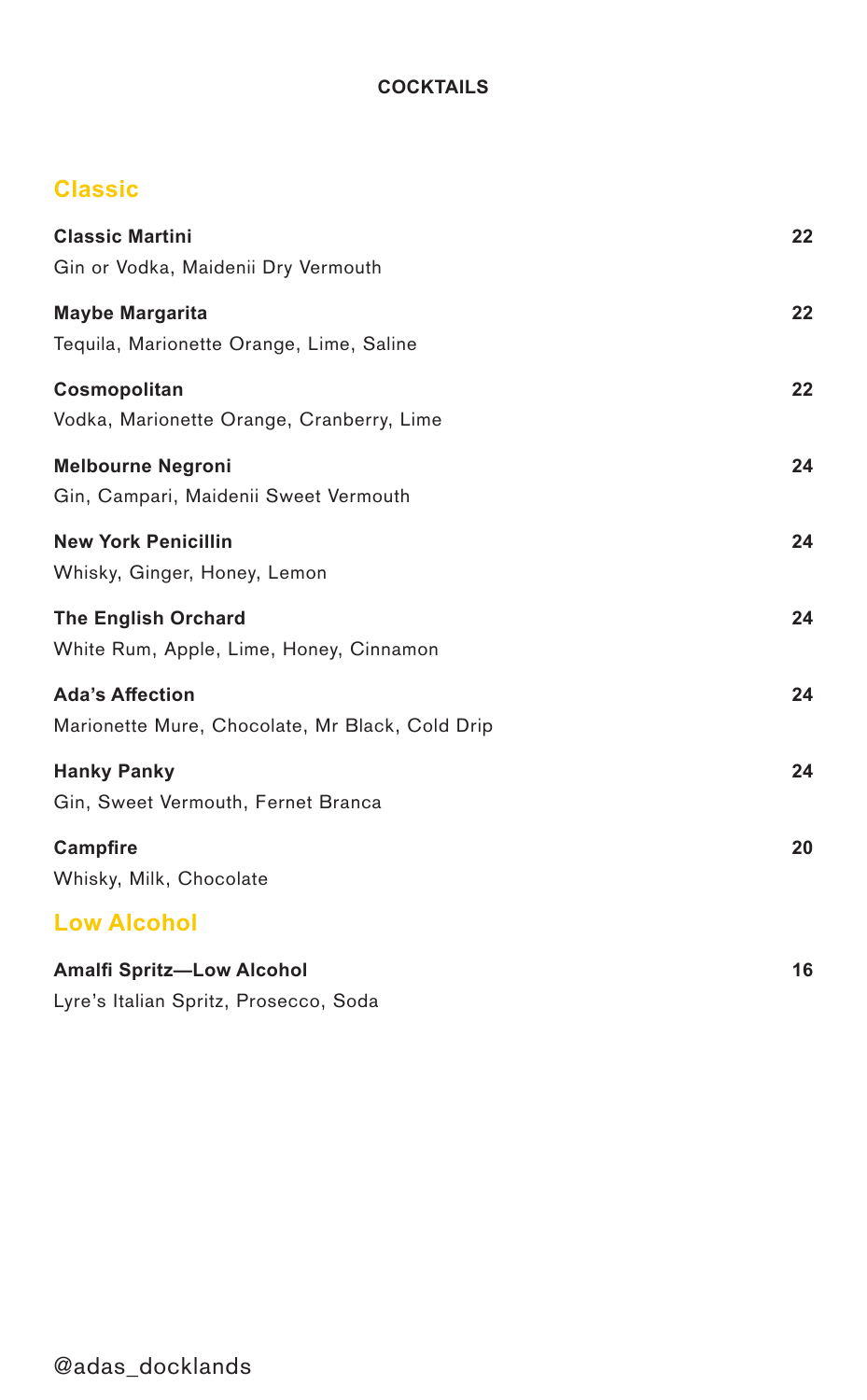### **COCKTAILS**

# **Classic**

| <b>Classic Martini</b><br>Gin or Vodka, Maidenii Dry Vermouth             | 22 |
|---------------------------------------------------------------------------|----|
| <b>Maybe Margarita</b><br>Tequila, Marionette Orange, Lime, Saline        | 22 |
| Cosmopolitan<br>Vodka, Marionette Orange, Cranberry, Lime                 | 22 |
| <b>Melbourne Negroni</b><br>Gin, Campari, Maidenii Sweet Vermouth         | 24 |
| <b>New York Penicillin</b><br>Whisky, Ginger, Honey, Lemon                | 24 |
| <b>The English Orchard</b><br>White Rum, Apple, Lime, Honey, Cinnamon     | 24 |
| <b>Ada's Affection</b><br>Marionette Mure, Chocolate, Mr Black, Cold Drip | 24 |
| <b>Hanky Panky</b><br>Gin, Sweet Vermouth, Fernet Branca                  | 24 |
| Campfire<br>Whisky, Milk, Chocolate                                       | 20 |
| <b>Low Alcohol</b>                                                        |    |
| Amalfi Spritz-Low Alcohol                                                 | 16 |

Lyre's Italian Spritz, Prosecco, Soda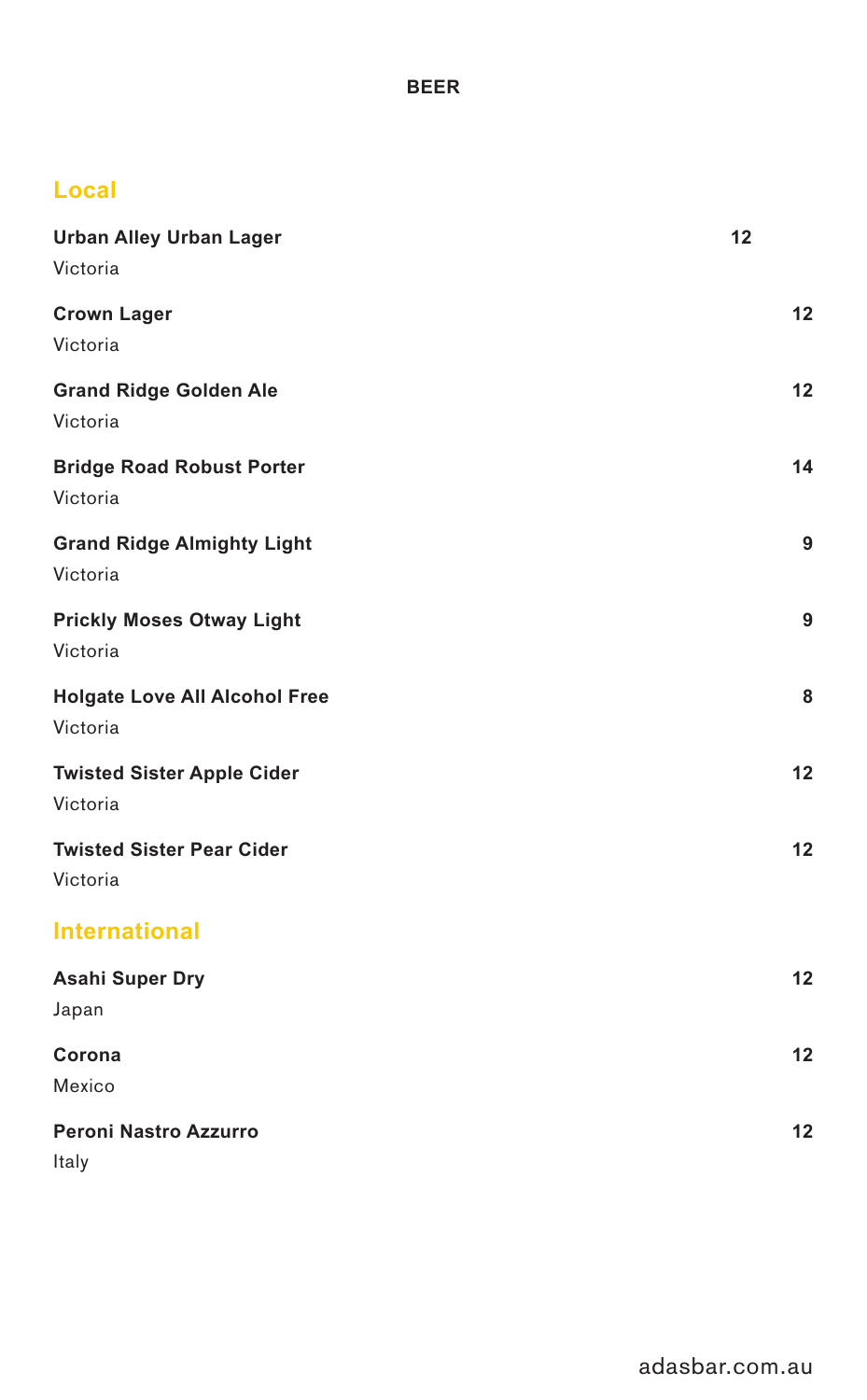#### **BEER**

|   | ٠ |    |    |  |
|---|---|----|----|--|
| ▀ |   |    |    |  |
|   |   | ٠. | __ |  |

| <b>Urban Alley Urban Lager</b><br>Victoria       | 12 |
|--------------------------------------------------|----|
| <b>Crown Lager</b><br>Victoria                   | 12 |
| <b>Grand Ridge Golden Ale</b><br>Victoria        | 12 |
| <b>Bridge Road Robust Porter</b><br>Victoria     | 14 |
| <b>Grand Ridge Almighty Light</b><br>Victoria    | 9  |
| <b>Prickly Moses Otway Light</b><br>Victoria     | 9  |
| <b>Holgate Love All Alcohol Free</b><br>Victoria | 8  |
| <b>Twisted Sister Apple Cider</b><br>Victoria    | 12 |
| <b>Twisted Sister Pear Cider</b><br>Victoria     | 12 |
| <b>International</b>                             |    |
| <b>Asahi Super Dry</b><br>Japan                  | 12 |
| Corona<br>Mexico                                 | 12 |
| Peroni Nastro Azzurro<br>Italy                   | 12 |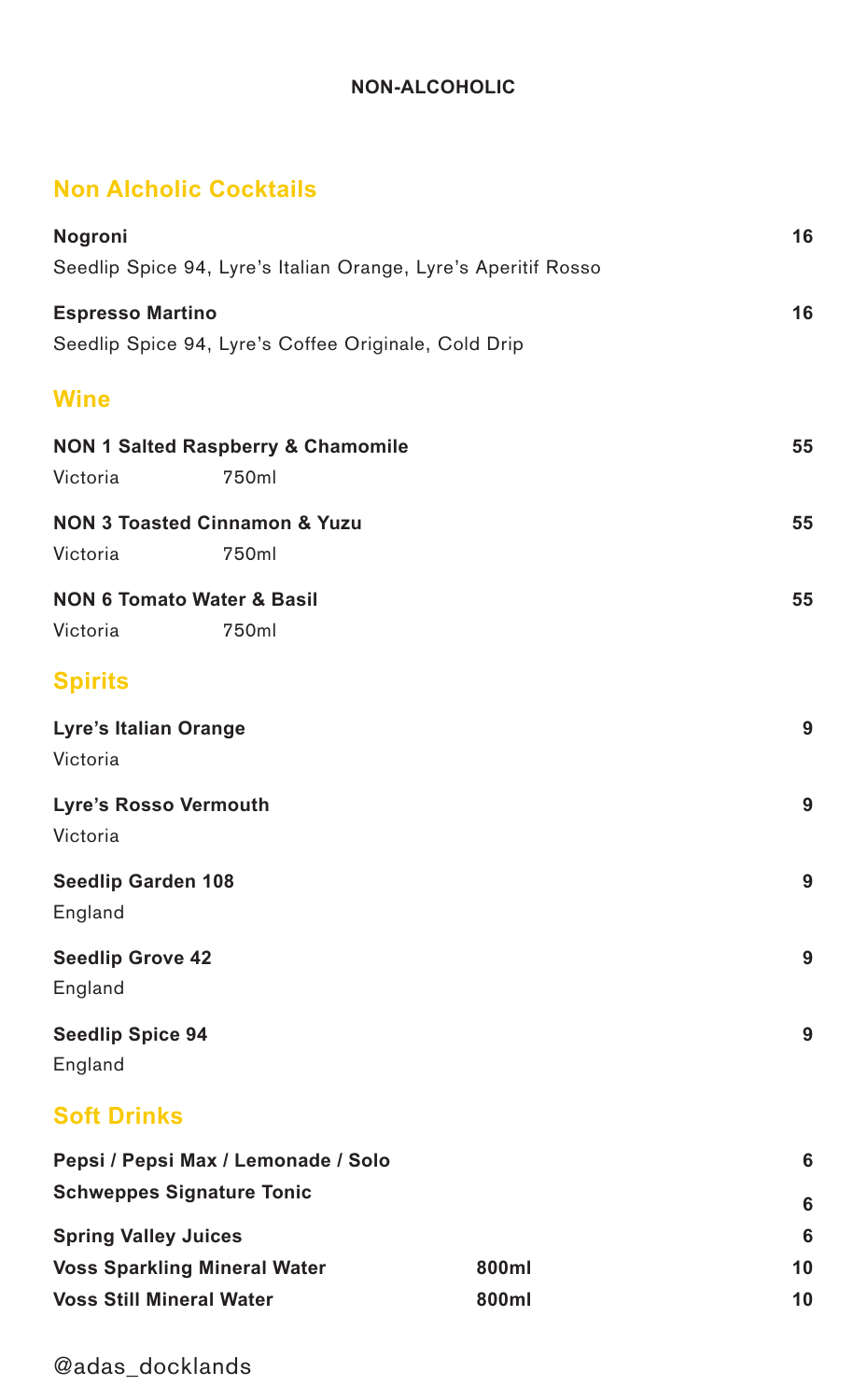### **NON-ALCOHOLIC**

## **Non Alcholic Cocktails**

| Nogroni                               |                                                                |       | 16     |
|---------------------------------------|----------------------------------------------------------------|-------|--------|
|                                       | Seedlip Spice 94, Lyre's Italian Orange, Lyre's Aperitif Rosso |       |        |
| <b>Espresso Martino</b>               | Seedlip Spice 94, Lyre's Coffee Originale, Cold Drip           |       | 16     |
| <b>Wine</b>                           |                                                                |       |        |
|                                       | NON 1 Salted Raspberry & Chamomile                             |       | 55     |
| Victoria                              | 750ml                                                          |       |        |
| Victoria                              | <b>NON 3 Toasted Cinnamon &amp; Yuzu</b><br>750ml              |       | 55     |
| <b>NON 6 Tomato Water &amp; Basil</b> |                                                                |       | 55     |
| Victoria                              | 750ml                                                          |       |        |
| <b>Spirits</b>                        |                                                                |       |        |
| Lyre's Italian Orange<br>Victoria     |                                                                |       | 9      |
| Lyre's Rosso Vermouth<br>Victoria     |                                                                |       | 9      |
| Seedlip Garden 108<br>England         |                                                                |       | 9      |
| <b>Seedlip Grove 42</b><br>England    |                                                                |       | 9      |
| <b>Seedlip Spice 94</b><br>England    |                                                                |       | 9      |
| <b>Soft Drinks</b>                    |                                                                |       |        |
| <b>Schweppes Signature Tonic</b>      | Pepsi / Pepsi Max / Lemonade / Solo                            |       | 6<br>6 |
| <b>Spring Valley Juices</b>           |                                                                |       | 6      |
| <b>Voss Sparkling Mineral Water</b>   |                                                                | 800ml | 10     |
| <b>Voss Still Mineral Water</b>       |                                                                | 800ml | 10     |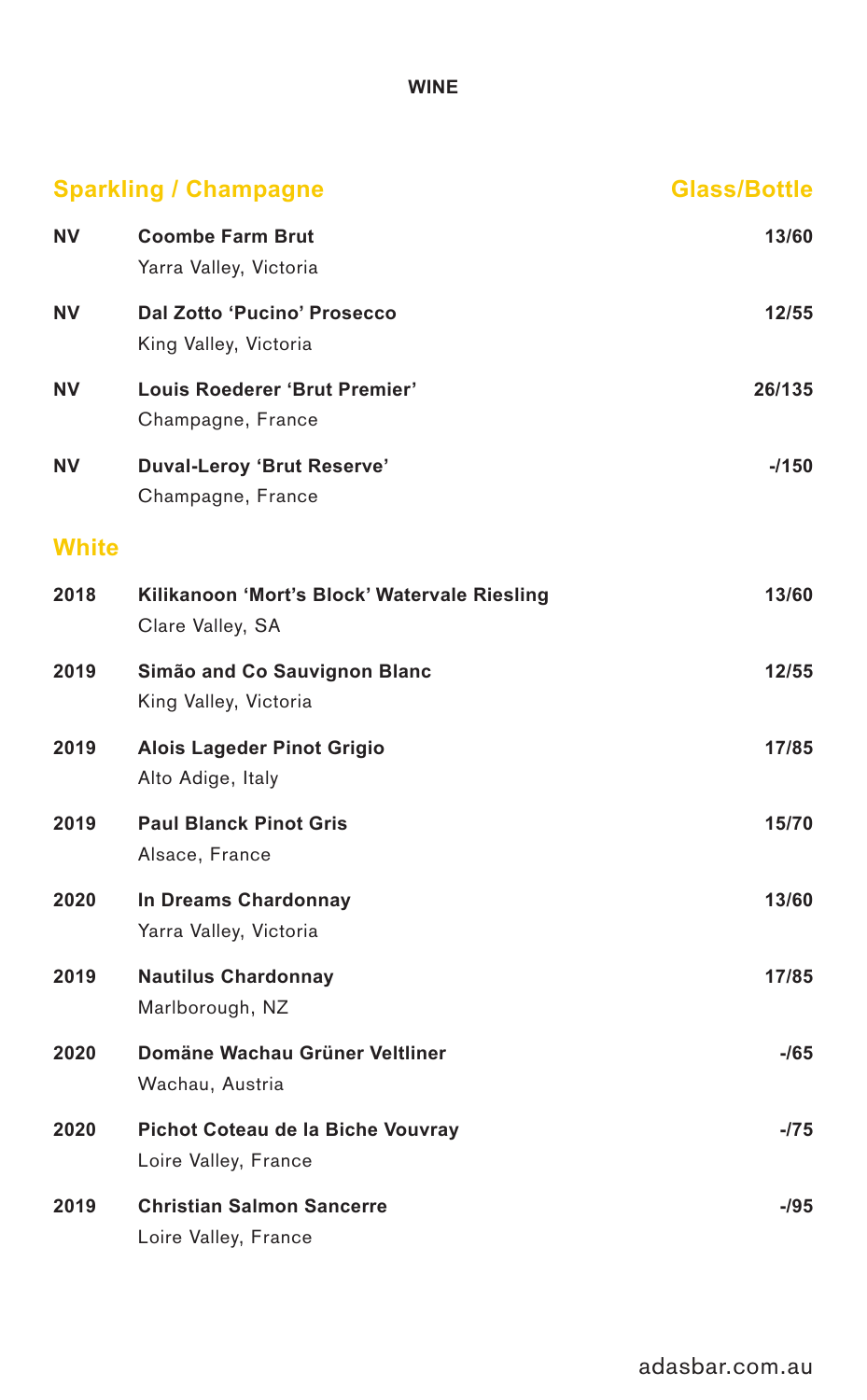#### **WINE**

|           | <b>Sparkling / Champagne</b>                                     | <b>Glass/Bottle</b> |
|-----------|------------------------------------------------------------------|---------------------|
| <b>NV</b> | <b>Coombe Farm Brut</b><br>Yarra Valley, Victoria                | 13/60               |
| <b>NV</b> | Dal Zotto 'Pucino' Prosecco<br>King Valley, Victoria             | 12/55               |
| <b>NV</b> | Louis Roederer 'Brut Premier'<br>Champagne, France               | 26/135              |
| <b>NV</b> | Duval-Leroy 'Brut Reserve'<br>Champagne, France                  | $-1150$             |
| White     |                                                                  |                     |
| 2018      | Kilikanoon 'Mort's Block' Watervale Riesling<br>Clare Valley, SA | 13/60               |
| 2019      | Simão and Co Sauvignon Blanc<br>King Valley, Victoria            | 12/55               |
| 2019      | Alois Lageder Pinot Grigio<br>Alto Adige, Italy                  | 17/85               |
| 2019      | <b>Paul Blanck Pinot Gris</b><br>Alsace, France                  | 15/70               |
| 2020      | In Dreams Chardonnay<br>Yarra Valley, Victoria                   | 13/60               |
| 2019      | <b>Nautilus Chardonnay</b><br>Marlborough, NZ                    | 17/85               |
| 2020      | Domäne Wachau Grüner Veltliner<br>Wachau, Austria                | $-165$              |
| 2020      | Pichot Coteau de la Biche Vouvray<br>Loire Valley, France        | $-175$              |
| 2019      | <b>Christian Salmon Sancerre</b><br>Loire Valley, France         | $-195$              |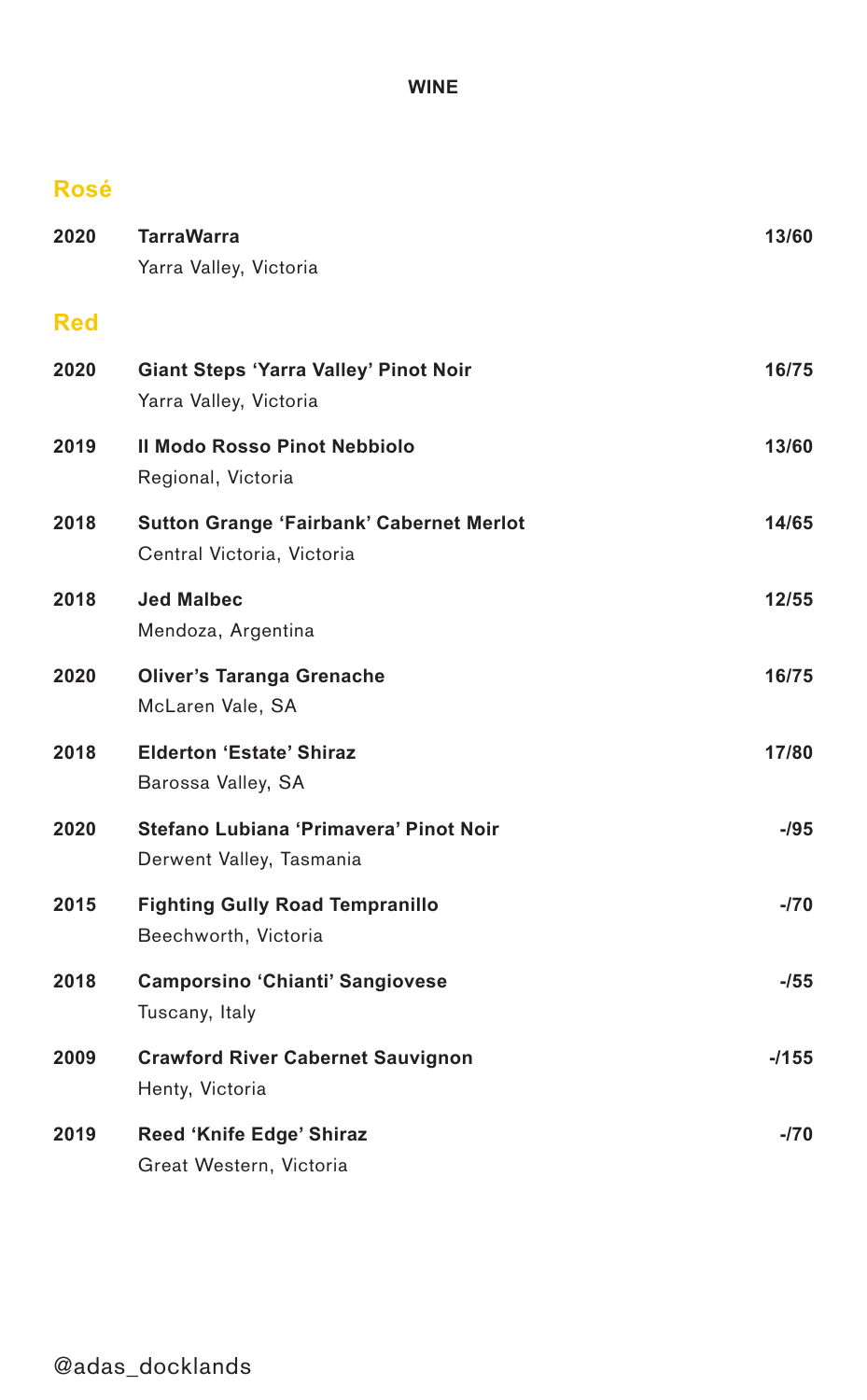#### **WINE**

## **Rosé**

| 2020       | <b>TarraWarra</b><br>Yarra Valley, Victoria                                   | 13/60   |
|------------|-------------------------------------------------------------------------------|---------|
| <b>Red</b> |                                                                               |         |
| 2020       | Giant Steps 'Yarra Valley' Pinot Noir<br>Yarra Valley, Victoria               | 16/75   |
| 2019       | Il Modo Rosso Pinot Nebbiolo<br>Regional, Victoria                            | 13/60   |
| 2018       | <b>Sutton Grange 'Fairbank' Cabernet Merlot</b><br>Central Victoria, Victoria | 14/65   |
| 2018       | <b>Jed Malbec</b><br>Mendoza, Argentina                                       | 12/55   |
| 2020       | <b>Oliver's Taranga Grenache</b><br>McLaren Vale, SA                          | 16/75   |
| 2018       | <b>Elderton 'Estate' Shiraz</b><br>Barossa Valley, SA                         | 17/80   |
| 2020       | Stefano Lubiana 'Primavera' Pinot Noir<br>Derwent Valley, Tasmania            | $-195$  |
| 2015       | <b>Fighting Gully Road Tempranillo</b><br>Beechworth, Victoria                | -/70    |
| 2018       | <b>Camporsino 'Chianti' Sangiovese</b><br>Tuscany, Italy                      | $-155$  |
| 2009       | <b>Crawford River Cabernet Sauvignon</b><br>Henty, Victoria                   | $-1155$ |
| 2019       | Reed 'Knife Edge' Shiraz<br>Great Western, Victoria                           | $-170$  |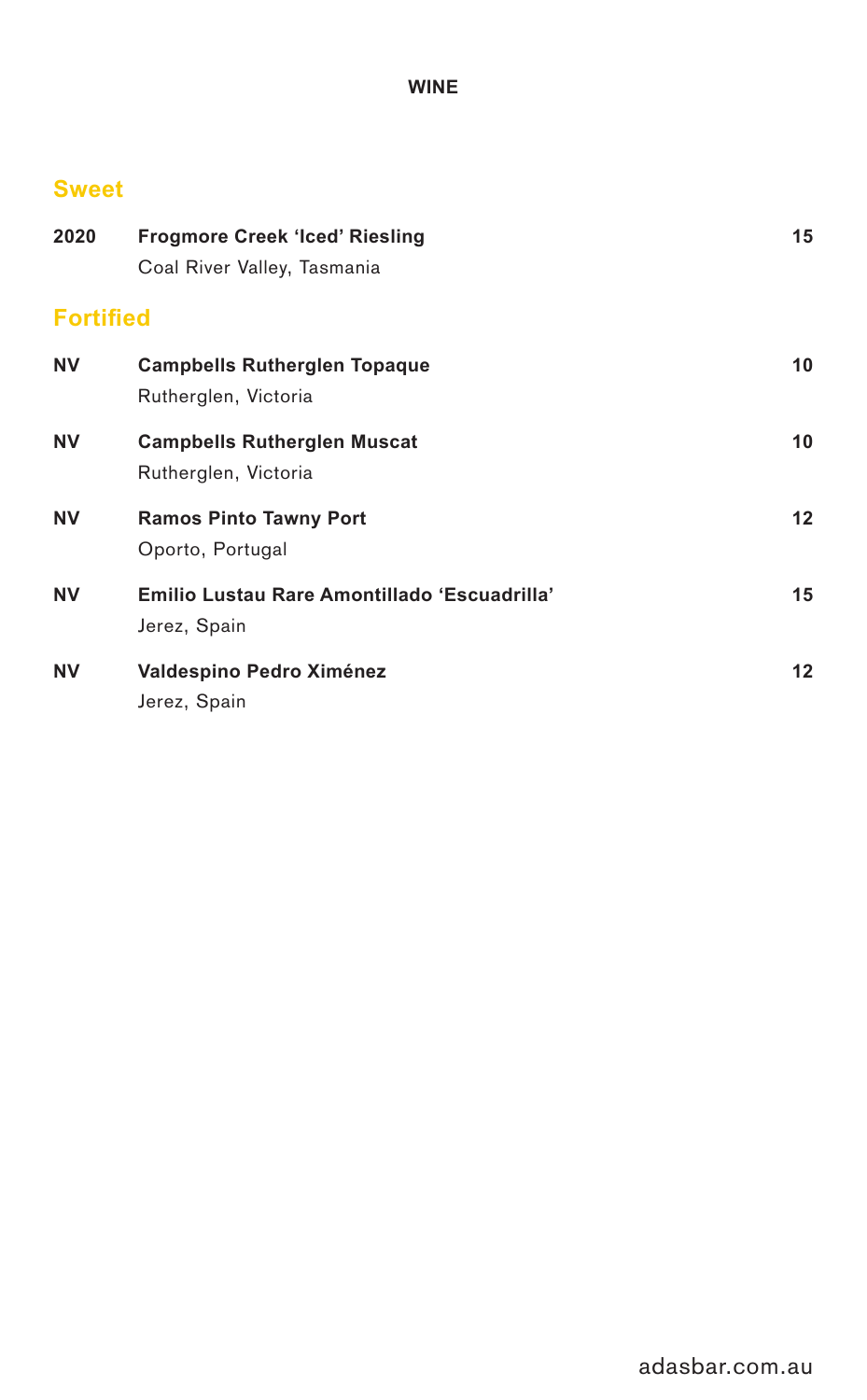#### **WINE**

## **Sweet**

| 2020             | <b>Frogmore Creek 'Iced' Riesling</b><br>Coal River Valley, Tasmania | 15      |
|------------------|----------------------------------------------------------------------|---------|
| <b>Fortified</b> |                                                                      |         |
| <b>NV</b>        | <b>Campbells Rutherglen Topaque</b><br>Rutherglen, Victoria          | 10      |
| <b>NV</b>        | <b>Campbells Rutherglen Muscat</b><br>Rutherglen, Victoria           | 10      |
| <b>NV</b>        | <b>Ramos Pinto Tawny Port</b><br>Oporto, Portugal                    | $12 \,$ |
| <b>NV</b>        | Emilio Lustau Rare Amontillado 'Escuadrilla'<br>Jerez, Spain         | 15      |
| <b>NV</b>        | Valdespino Pedro Ximénez<br>Jerez, Spain                             | 12      |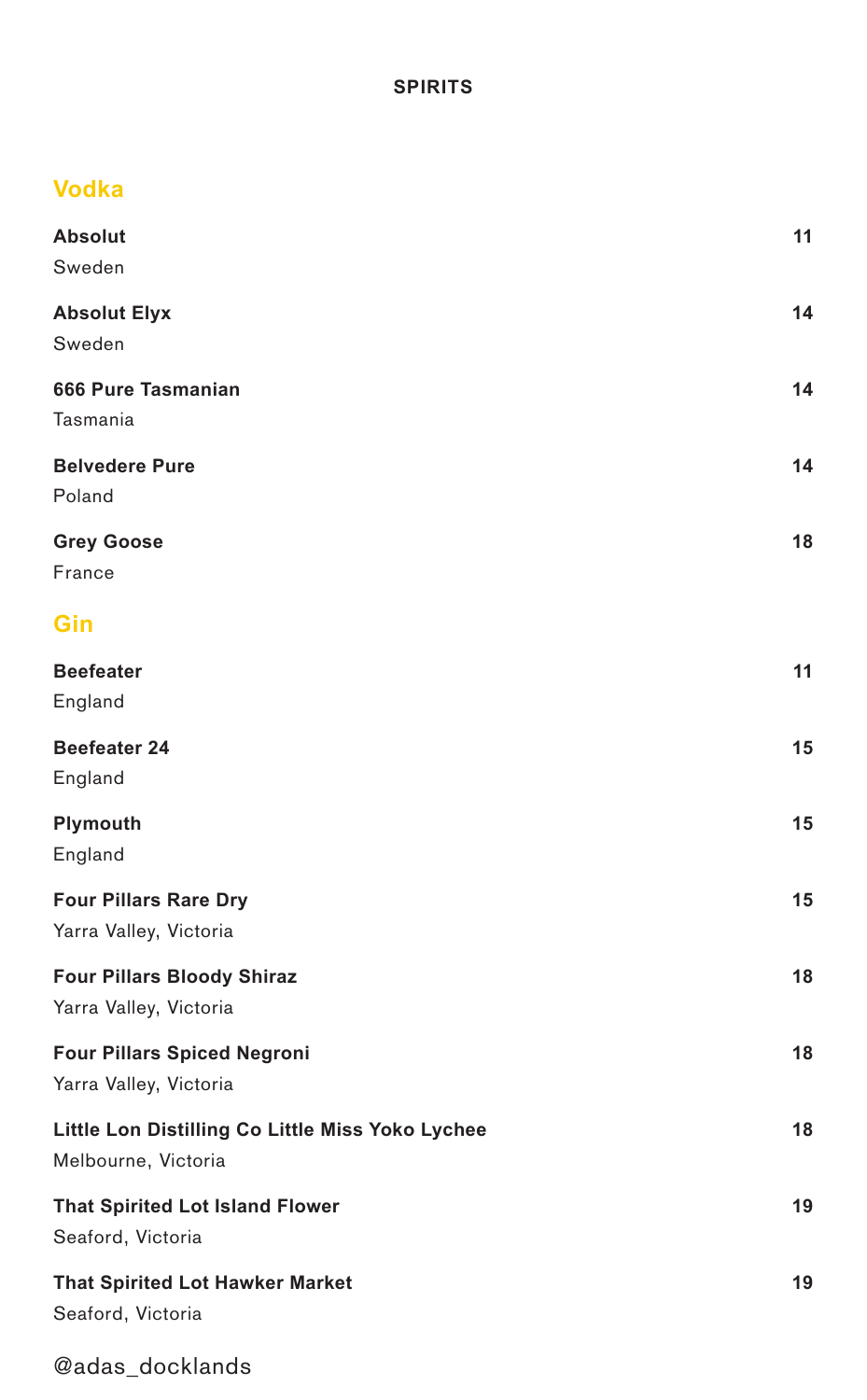| PU.                               |       |  |
|-----------------------------------|-------|--|
| <b>Contract Contract Contract</b> | _____ |  |

| <b>Absolut</b><br>Sweden                                                | 11 |
|-------------------------------------------------------------------------|----|
| <b>Absolut Elyx</b><br>Sweden                                           | 14 |
| 666 Pure Tasmanian<br>Tasmania                                          | 14 |
| <b>Belvedere Pure</b><br>Poland                                         | 14 |
| <b>Grey Goose</b><br>France                                             | 18 |
| Gin                                                                     |    |
| <b>Beefeater</b><br>England                                             | 11 |
| <b>Beefeater 24</b><br>England                                          | 15 |
| Plymouth<br>England                                                     | 15 |
| <b>Four Pillars Rare Dry</b><br>Yarra Valley, Victoria                  | 15 |
| <b>Four Pillars Bloody Shiraz</b><br>Yarra Valley, Victoria             | 18 |
| <b>Four Pillars Spiced Negroni</b><br>Yarra Valley, Victoria            | 18 |
| Little Lon Distilling Co Little Miss Yoko Lychee<br>Melbourne, Victoria | 18 |
| <b>That Spirited Lot Island Flower</b><br>Seaford, Victoria             | 19 |
| <b>That Spirited Lot Hawker Market</b><br>Seaford, Victoria             | 19 |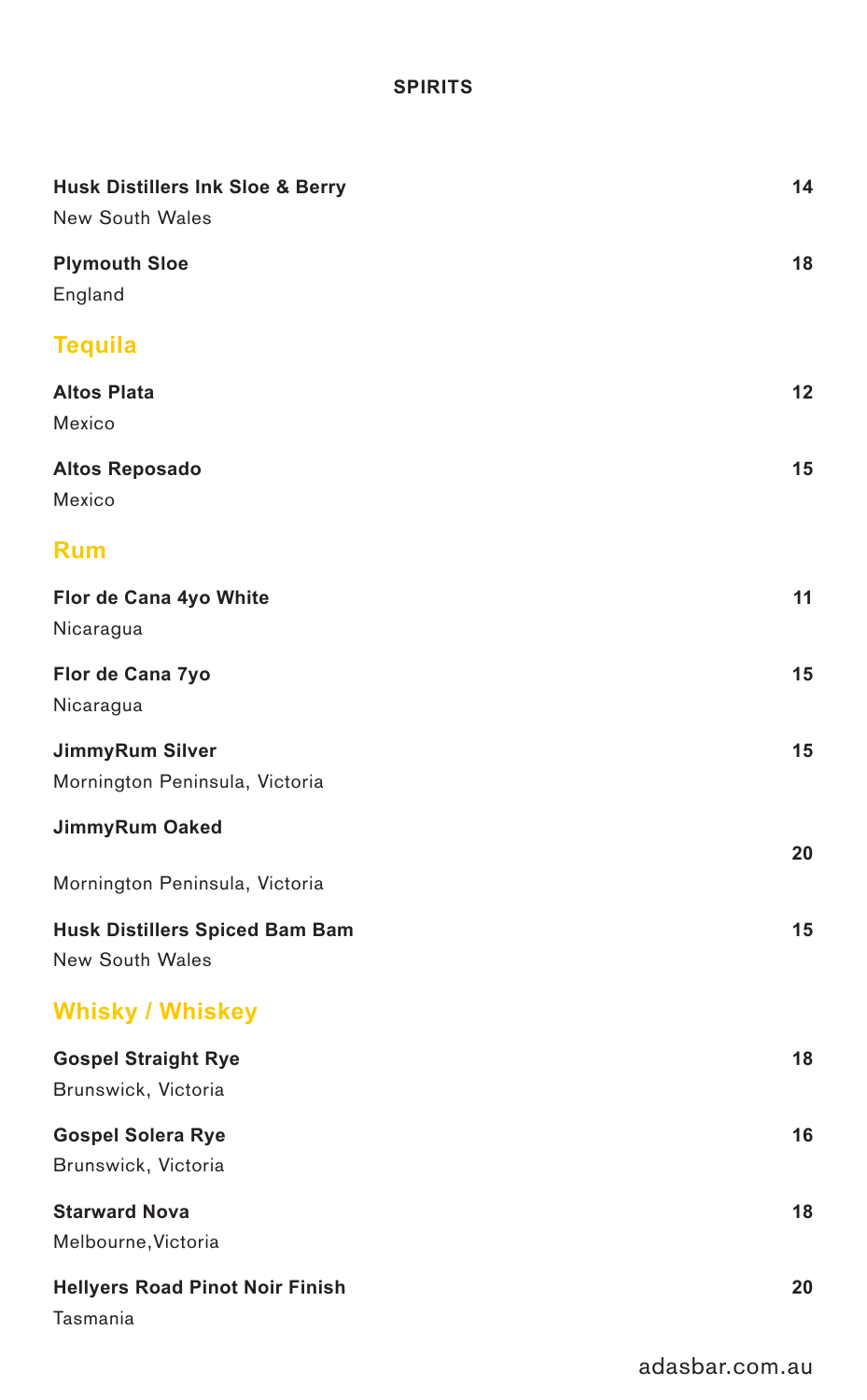| Husk Distillers Ink Sloe & Berry<br>New South Wales      | 14 |
|----------------------------------------------------------|----|
| <b>Plymouth Sloe</b><br>England                          | 18 |
| <b>Tequila</b>                                           |    |
| <b>Altos Plata</b><br>Mexico                             | 12 |
| <b>Altos Reposado</b><br>Mexico                          | 15 |
| <b>Rum</b>                                               |    |
| Flor de Cana 4yo White<br>Nicaragua                      | 11 |
| Flor de Cana 7yo<br>Nicaragua                            | 15 |
| JimmyRum Silver<br>Mornington Peninsula, Victoria        | 15 |
| JimmyRum Oaked                                           | 20 |
| Mornington Peninsula, Victoria                           |    |
| <b>Husk Distillers Spiced Bam Bam</b><br>New South Wales | 15 |
| <b>Whisky / Whiskey</b>                                  |    |
| <b>Gospel Straight Rye</b><br>Brunswick, Victoria        | 18 |
| <b>Gospel Solera Rye</b><br>Brunswick, Victoria          | 16 |
| <b>Starward Nova</b><br>Melbourne, Victoria              | 18 |
| <b>Hellyers Road Pinot Noir Finish</b><br>Tasmania       | 20 |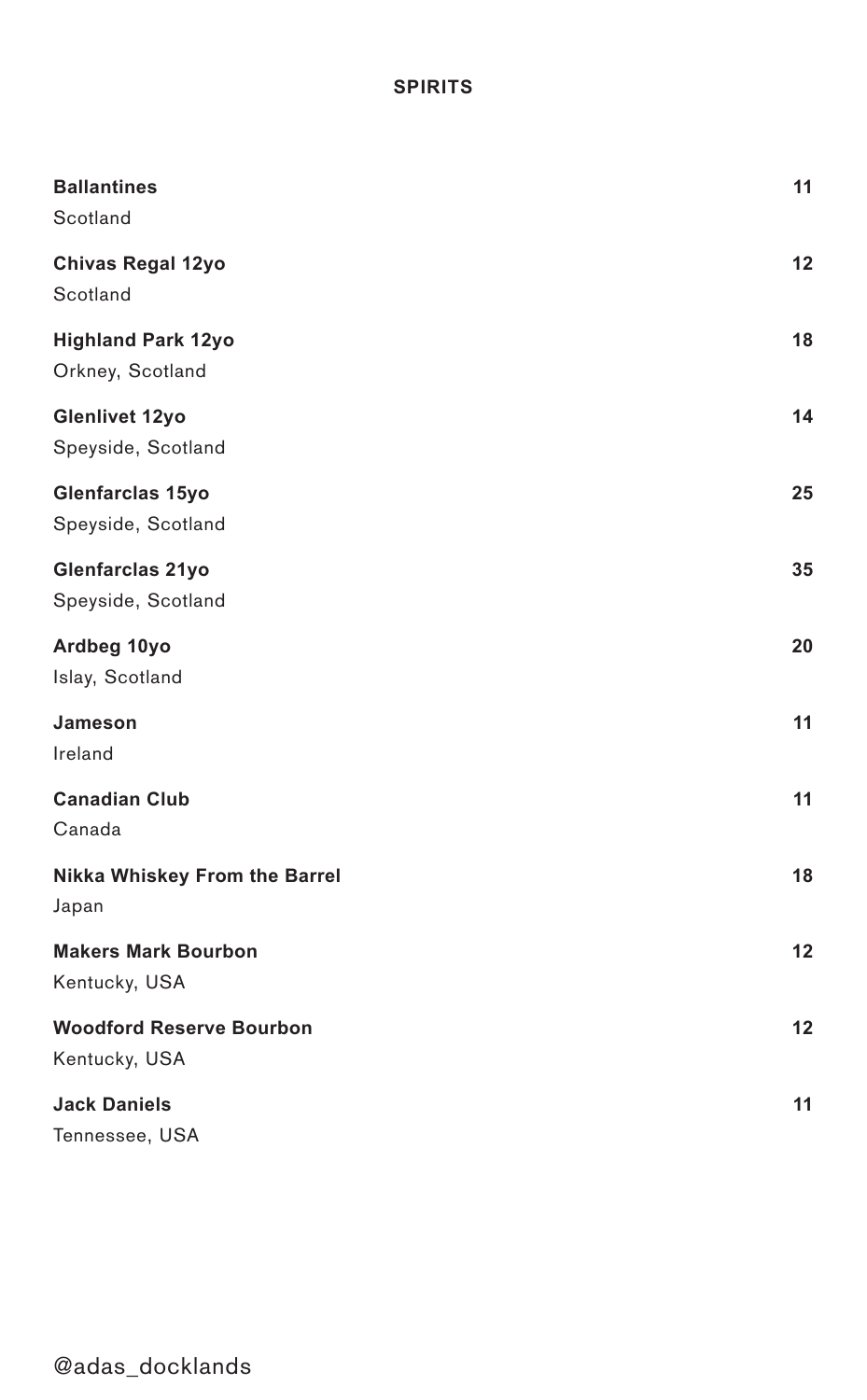| <b>Ballantines</b><br>Scotland                   | 11 |
|--------------------------------------------------|----|
| Chivas Regal 12yo<br>Scotland                    | 12 |
| <b>Highland Park 12yo</b><br>Orkney, Scotland    | 18 |
| Glenlivet 12yo<br>Speyside, Scotland             | 14 |
| Glenfarclas 15yo<br>Speyside, Scotland           | 25 |
| Glenfarclas 21yo<br>Speyside, Scotland           | 35 |
| Ardbeg 10yo<br>Islay, Scotland                   | 20 |
| Jameson<br>Ireland                               | 11 |
| <b>Canadian Club</b><br>Canada                   | 11 |
| Nikka Whiskey From the Barrel<br>Japan           | 18 |
| <b>Makers Mark Bourbon</b><br>Kentucky, USA      | 12 |
| <b>Woodford Reserve Bourbon</b><br>Kentucky, USA | 12 |
| <b>Jack Daniels</b><br>Tennessee, USA            | 11 |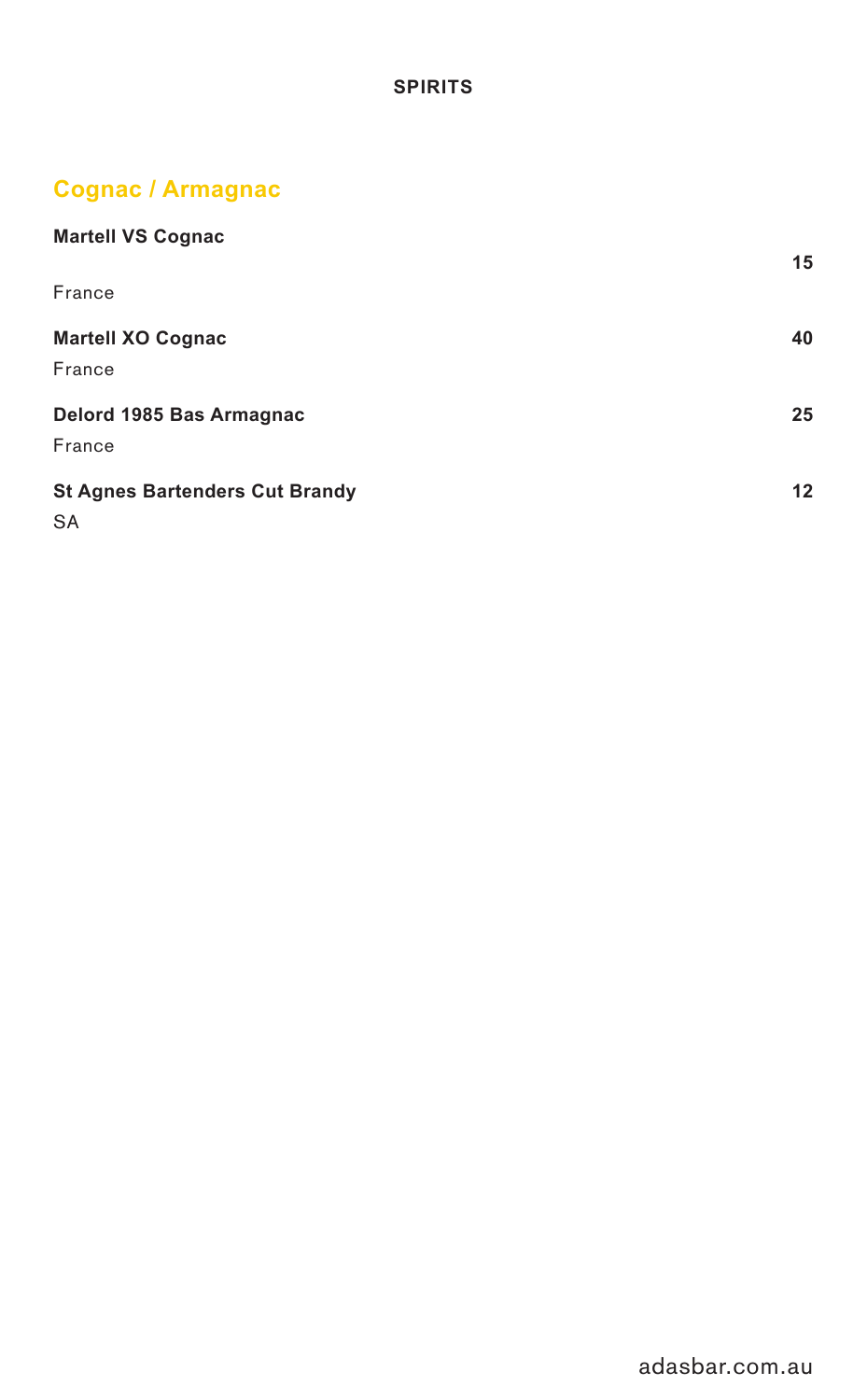# **Cognac / Armagnac**

| <b>Martell VS Cognac</b>              |    |
|---------------------------------------|----|
|                                       | 15 |
| France                                |    |
| <b>Martell XO Cognac</b>              | 40 |
| France                                |    |
| Delord 1985 Bas Armagnac              | 25 |
| France                                |    |
| <b>St Agnes Bartenders Cut Brandy</b> | 12 |
| <b>SA</b>                             |    |